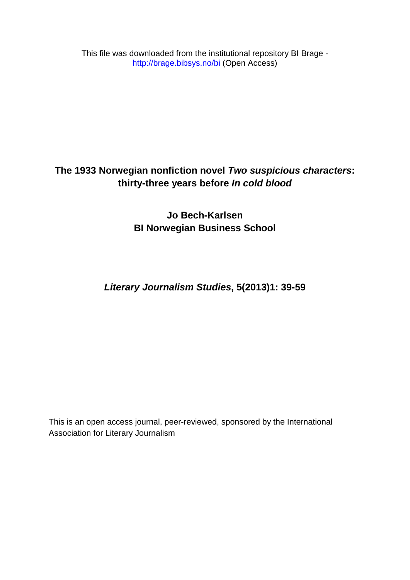This file was downloaded from the institutional repository BI Brage <http://brage.bibsys.no/bi> (Open Access)

# **The 1933 Norwegian nonfiction novel** *Two suspicious characters***: thirty-three years before** *In cold blood*

**Jo Bech-Karlsen BI Norwegian Business School** 

*Literary Journalism Studies***, 5(2013)1: 39-59**

This is an open access journal, peer-reviewed, sponsored by the International Association for Literary Journalism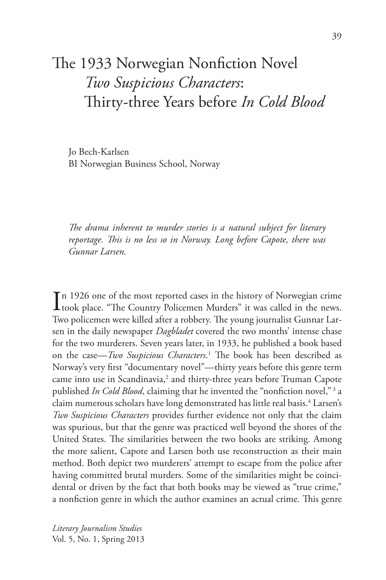# The 1933 Norwegian Nonfiction Novel *Two Suspicious Characters*: Thirty-three Years before *In Cold Blood*

Jo Bech-Karlsen BI Norwegian Business School, Norway

*The drama inherent to murder stories is a natural subject for literary reportage. This is no less so in Norway. Long before Capote, there was Gunnar Larsen.*

In 1926 one of the most reported cases in the history of Norwegian crime<br>took place. "The Country Policemen Murders" it was called in the news. took place. "The Country Policemen Murders" it was called in the news. Two policemen were killed after a robbery. The young journalist Gunnar Larsen in the daily newspaper *Dagbladet* covered the two months' intense chase for the two murderers. Seven years later, in 1933, he published a book based on the case—*Two Suspicious Characters*. 1 The book has been described as Norway's very first "documentary novel"—thirty years before this genre term came into use in Scandinavia,<sup>2</sup> and thirty-three years before Truman Capote published *In Cold Blood*, claiming that he invented the "nonfiction novel," 3 a claim numerous scholars have long demonstrated has little real basis.<sup>4</sup> Larsen's *Two Suspicious Characters* provides further evidence not only that the claim was spurious, but that the genre was practiced well beyond the shores of the United States. The similarities between the two books are striking. Among the more salient, Capote and Larsen both use reconstruction as their main method. Both depict two murderers' attempt to escape from the police after having committed brutal murders. Some of the similarities might be coincidental or driven by the fact that both books may be viewed as "true crime," a nonfiction genre in which the author examines an actual crime. This genre

*Literary Journalism Studies* Vol. 5, No. 1, Spring 2013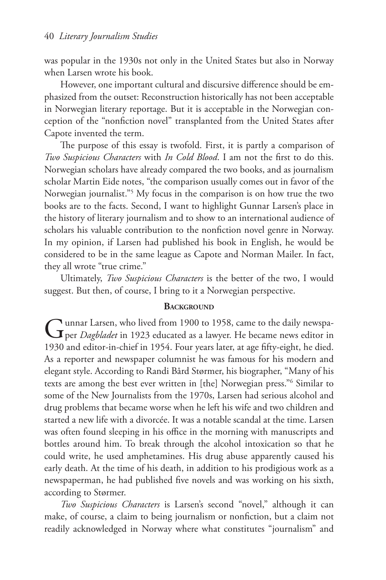was popular in the 1930s not only in the United States but also in Norway when Larsen wrote his book.

However, one important cultural and discursive difference should be emphasized from the outset: Reconstruction historically has not been acceptable in Norwegian literary reportage. But it is acceptable in the Norwegian conception of the "nonfiction novel" transplanted from the United States after Capote invented the term.

The purpose of this essay is twofold. First, it is partly a comparison of *Two Suspicious Characters* with *In Cold Blood*. I am not the first to do this. Norwegian scholars have already compared the two books, and as journalism scholar Martin Eide notes, "the comparison usually comes out in favor of the Norwegian journalist."5 My focus in the comparison is on how true the two books are to the facts. Second, I want to highlight Gunnar Larsen's place in the history of literary journalism and to show to an international audience of scholars his valuable contribution to the nonfiction novel genre in Norway. In my opinion, if Larsen had published his book in English, he would be considered to be in the same league as Capote and Norman Mailer. In fact, they all wrote "true crime."

Ultimately, *Two Suspicious Characters* is the better of the two, I would suggest. But then, of course, I bring to it a Norwegian perspective.

#### **BACKGROUND**

Tunnar Larsen, who lived from 1900 to 1958, came to the daily newspaper *Dagbladet* in 1923 educated as a lawyer. He became news editor in 1930 and editor-in-chief in 1954. Four years later, at age fifty-eight, he died. As a reporter and newspaper columnist he was famous for his modern and elegant style. According to Randi Bård Størmer, his biographer, "Many of his texts are among the best ever written in [the] Norwegian press."6 Similar to some of the New Journalists from the 1970s, Larsen had serious alcohol and drug problems that became worse when he left his wife and two children and started a new life with a divorcée. It was a notable scandal at the time. Larsen was often found sleeping in his office in the morning with manuscripts and bottles around him. To break through the alcohol intoxication so that he could write, he used amphetamines. His drug abuse apparently caused his early death. At the time of his death, in addition to his prodigious work as a newspaperman, he had published five novels and was working on his sixth, according to Størmer.

*Two Suspicious Characters* is Larsen's second "novel," although it can make, of course, a claim to being journalism or nonfiction, but a claim not readily acknowledged in Norway where what constitutes "journalism" and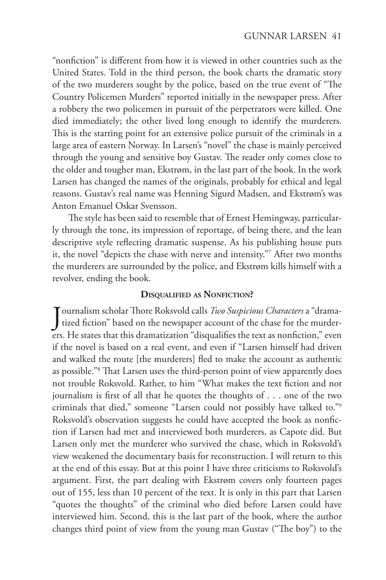"nonfiction" is different from how it is viewed in other countries such as the United States. Told in the third person, the book charts the dramatic story of the two murderers sought by the police, based on the true event of "The Country Policemen Murders" reported initially in the newspaper press. After a robbery the two policemen in pursuit of the perpetrators were killed. One died immediately; the other lived long enough to identify the murderers. This is the starting point for an extensive police pursuit of the criminals in a large area of eastern Norway. In Larsen's "novel" the chase is mainly perceived through the young and sensitive boy Gustav. The reader only comes close to the older and tougher man, Ekstrøm, in the last part of the book. In the work Larsen has changed the names of the originals, probably for ethical and legal reasons. Gustav's real name was Henning Sigurd Madsen, and Ekstrøm's was Anton Emanuel Oskar Svensson.

The style has been said to resemble that of Ernest Hemingway, particularly through the tone, its impression of reportage, of being there, and the lean descriptive style reflecting dramatic suspense. As his publishing house puts it, the novel "depicts the chase with nerve and intensity."7 After two months the murderers are surrounded by the police, and Ekstrøm kills himself with a revolver, ending the book.

#### **Disqualified as Nonfiction?**

Journalism scholar Thore Roksvold calls *Two Suspicious Characters* a "drama-<br>tized fiction" based on the newspaper account of the chase for the murdertized fiction" based on the newspaper account of the chase for the murderers. He states that this dramatization "disqualifies the text as nonfiction," even if the novel is based on a real event, and even if "Larsen himself had driven and walked the route [the murderers] fled to make the account as authentic as possible."8 That Larsen uses the third-person point of view apparently does not trouble Roksvold. Rather, to him "What makes the text fiction and not journalism is first of all that he quotes the thoughts of . . . one of the two criminals that died," someone "Larsen could not possibly have talked to."9 Roksvold's observation suggests he could have accepted the book as nonfiction if Larsen had met and interviewed both murderers, as Capote did. But Larsen only met the murderer who survived the chase, which in Roksvold's view weakened the documentary basis for reconstruction. I will return to this at the end of this essay. But at this point I have three criticisms to Roksvold's argument. First, the part dealing with Ekstrøm covers only fourteen pages out of 155, less than 10 percent of the text. It is only in this part that Larsen "quotes the thoughts" of the criminal who died before Larsen could have interviewed him. Second, this is the last part of the book, where the author changes third point of view from the young man Gustav ("The boy") to the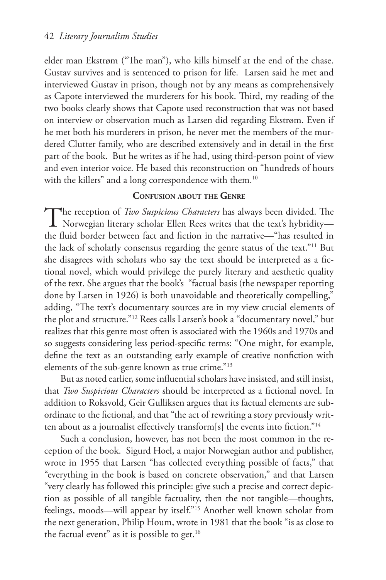elder man Ekstrøm ("The man"), who kills himself at the end of the chase. Gustav survives and is sentenced to prison for life. Larsen said he met and interviewed Gustav in prison, though not by any means as comprehensively as Capote interviewed the murderers for his book. Third, my reading of the two books clearly shows that Capote used reconstruction that was not based on interview or observation much as Larsen did regarding Ekstrøm. Even if he met both his murderers in prison, he never met the members of the murdered Clutter family, who are described extensively and in detail in the first part of the book. But he writes as if he had, using third-person point of view and even interior voice. He based this reconstruction on "hundreds of hours with the killers" and a long correspondence with them.<sup>10</sup>

# **Confusion about the Genre**

The reception of *Two Suspicious Characters* has always been divided. The  $\perp$  Norwegian literary scholar Ellen Rees writes that the text's hybridity the fluid border between fact and fiction in the narrative—"has resulted in the lack of scholarly consensus regarding the genre status of the text."11 But she disagrees with scholars who say the text should be interpreted as a fictional novel, which would privilege the purely literary and aesthetic quality of the text. She argues that the book's "factual basis (the newspaper reporting done by Larsen in 1926) is both unavoidable and theoretically compelling," adding, "The text's documentary sources are in my view crucial elements of the plot and structure."12 Rees calls Larsen's book a "documentary novel," but realizes that this genre most often is associated with the 1960s and 1970s and so suggests considering less period-specific terms: "One might, for example, define the text as an outstanding early example of creative nonfiction with elements of the sub-genre known as true crime."13

But as noted earlier, some influential scholars have insisted, and still insist, that *Two Suspicious Characters* should be interpreted as a fictional novel. In addition to Roksvold, Geir Gulliksen argues that its factual elements are subordinate to the fictional, and that "the act of rewriting a story previously written about as a journalist effectively transform[s] the events into fiction."14

Such a conclusion, however, has not been the most common in the reception of the book. Sigurd Hoel, a major Norwegian author and publisher, wrote in 1955 that Larsen "has collected everything possible of facts," that "everything in the book is based on concrete observation," and that Larsen "very clearly has followed this principle: give such a precise and correct depiction as possible of all tangible factuality, then the not tangible—thoughts, feelings, moods—will appear by itself."15 Another well known scholar from the next generation, Philip Houm, wrote in 1981 that the book "is as close to the factual event" as it is possible to get. $16$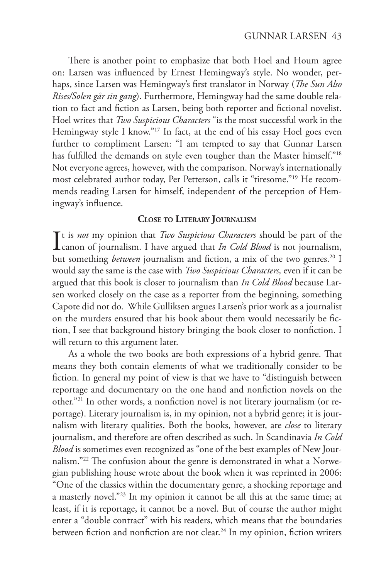There is another point to emphasize that both Hoel and Houm agree on: Larsen was influenced by Ernest Hemingway's style. No wonder, perhaps, since Larsen was Hemingway's first translator in Norway (*The Sun Also Rises/Solen går sin gang*). Furthermore, Hemingway had the same double relation to fact and fiction as Larsen, being both reporter and fictional novelist. Hoel writes that *Two Suspicious Characters* "is the most successful work in the Hemingway style I know."<sup>17</sup> In fact, at the end of his essay Hoel goes even further to compliment Larsen: "I am tempted to say that Gunnar Larsen has fulfilled the demands on style even tougher than the Master himself."<sup>18</sup> Not everyone agrees, however, with the comparison. Norway's internationally most celebrated author today, Per Petterson, calls it "tiresome."19 He recommends reading Larsen for himself, independent of the perception of Hemingway's influence.

#### **Close to Literary Journalism**

It is *not* my opinion that *Two Suspicious Characters* should be part of the canon of journalism. I have argued that *In Cold Blood* is not journalism, canon of journalism. I have argued that *In Cold Blood* is not journalism, but something *between* journalism and fiction, a mix of the two genres.<sup>20</sup> I would say the same is the case with *Two Suspicious Characters,* even if it can be argued that this book is closer to journalism than *In Cold Blood* because Larsen worked closely on the case as a reporter from the beginning, something Capote did not do. While Gulliksen argues Larsen's prior work as a journalist on the murders ensured that his book about them would necessarily be fiction, I see that background history bringing the book closer to nonfiction. I will return to this argument later.

As a whole the two books are both expressions of a hybrid genre. That means they both contain elements of what we traditionally consider to be fiction. In general my point of view is that we have to "distinguish between reportage and documentary on the one hand and nonfiction novels on the other."21 In other words, a nonfiction novel is not literary journalism (or reportage). Literary journalism is, in my opinion, not a hybrid genre; it is journalism with literary qualities. Both the books, however, are *close* to literary journalism, and therefore are often described as such. In Scandinavia *In Cold Blood* is sometimes even recognized as "one of the best examples of New Journalism."22 The confusion about the genre is demonstrated in what a Norwegian publishing house wrote about the book when it was reprinted in 2006: "One of the classics within the documentary genre, a shocking reportage and a masterly novel."23 In my opinion it cannot be all this at the same time; at least, if it is reportage, it cannot be a novel. But of course the author might enter a "double contract" with his readers, which means that the boundaries between fiction and nonfiction are not clear.<sup>24</sup> In my opinion, fiction writers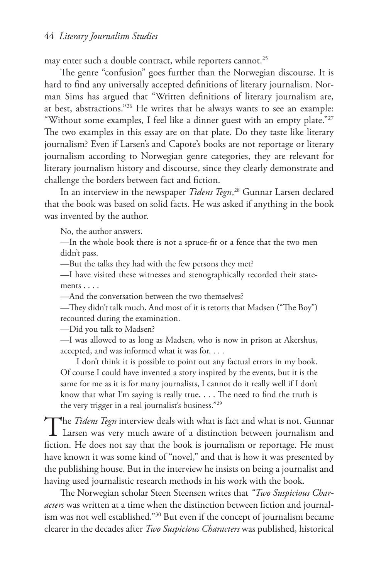may enter such a double contract, while reporters cannot.<sup>25</sup>

The genre "confusion" goes further than the Norwegian discourse. It is hard to find any universally accepted definitions of literary journalism. Norman Sims has argued that "Written definitions of literary journalism are, at best, abstractions."26 He writes that he always wants to see an example: "Without some examples, I feel like a dinner guest with an empty plate."27 The two examples in this essay are on that plate. Do they taste like literary journalism? Even if Larsen's and Capote's books are not reportage or literary journalism according to Norwegian genre categories, they are relevant for literary journalism history and discourse, since they clearly demonstrate and challenge the borders between fact and fiction.

In an interview in the newspaper *Tidens Tegn*, 28 Gunnar Larsen declared that the book was based on solid facts. He was asked if anything in the book was invented by the author.

No, the author answers.

—In the whole book there is not a spruce-fir or a fence that the two men didn't pass.

—But the talks they had with the few persons they met?

—I have visited these witnesses and stenographically recorded their statements . . . .

—And the conversation between the two themselves?

—They didn't talk much. And most of it is retorts that Madsen ("The Boy") recounted during the examination.

—Did you talk to Madsen?

—I was allowed to as long as Madsen, who is now in prison at Akershus, accepted, and was informed what it was for. . . .

I don't think it is possible to point out any factual errors in my book. Of course I could have invented a story inspired by the events, but it is the same for me as it is for many journalists, I cannot do it really well if I don't know that what I'm saying is really true. . . . The need to find the truth is the very trigger in a real journalist's business."29

The *Tidens Tegn* interview deals with what is fact and what is not. Gunnar Larsen was very much aware of a distinction between journalism and fiction. He does not say that the book is journalism or reportage. He must have known it was some kind of "novel," and that is how it was presented by the publishing house. But in the interview he insists on being a journalist and having used journalistic research methods in his work with the book.

The Norwegian scholar Steen Steensen writes that *"Two Suspicious Characters* was written at a time when the distinction between fiction and journalism was not well established."30 But even if the concept of journalism became clearer in the decades after *Two Suspicious Characters* was published, historical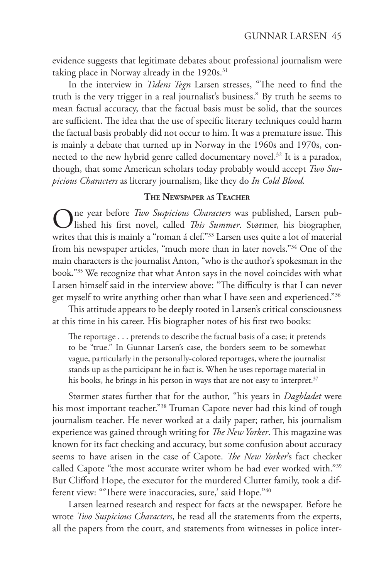evidence suggests that legitimate debates about professional journalism were taking place in Norway already in the 1920s.<sup>31</sup>

In the interview in *Tidens Tegn* Larsen stresses, "The need to find the truth is the very trigger in a real journalist's business." By truth he seems to mean factual accuracy, that the factual basis must be solid, that the sources are sufficient. The idea that the use of specific literary techniques could harm the factual basis probably did not occur to him. It was a premature issue. This is mainly a debate that turned up in Norway in the 1960s and 1970s, connected to the new hybrid genre called documentary novel.<sup>32</sup> It is a paradox, though, that some American scholars today probably would accept *Two Suspicious Characters* as literary journalism, like they do *In Cold Blood.*

# **The Newspaper as Teacher**

One year before *Two Suspicious Characters* was published, Larsen published his first novel, called *This Summer*. Størmer, his biographer, writes that this is mainly a "roman á clef."<sup>33</sup> Larsen uses quite a lot of material from his newspaper articles, "much more than in later novels."34 One of the main characters is the journalist Anton, "who is the author's spokesman in the book."35 We recognize that what Anton says in the novel coincides with what Larsen himself said in the interview above: "The difficulty is that I can never get myself to write anything other than what I have seen and experienced."36

This attitude appears to be deeply rooted in Larsen's critical consciousness at this time in his career. His biographer notes of his first two books:

The reportage . . . pretends to describe the factual basis of a case; it pretends to be "true." In Gunnar Larsen's case, the borders seem to be somewhat vague, particularly in the personally-colored reportages, where the journalist stands up as the participant he in fact is. When he uses reportage material in his books, he brings in his person in ways that are not easy to interpret.<sup>37</sup>

Størmer states further that for the author, "his years in *Dagbladet* were his most important teacher."<sup>38</sup> Truman Capote never had this kind of tough journalism teacher. He never worked at a daily paper; rather, his journalism experience was gained through writing for *The New Yorker*. This magazine was known for its fact checking and accuracy, but some confusion about accuracy seems to have arisen in the case of Capote. *The New Yorker*'s fact checker called Capote "the most accurate writer whom he had ever worked with."39 But Clifford Hope, the executor for the murdered Clutter family, took a different view: "There were inaccuracies, sure,' said Hope."40

Larsen learned research and respect for facts at the newspaper. Before he wrote *Two Suspicious Characters*, he read all the statements from the experts, all the papers from the court, and statements from witnesses in police inter-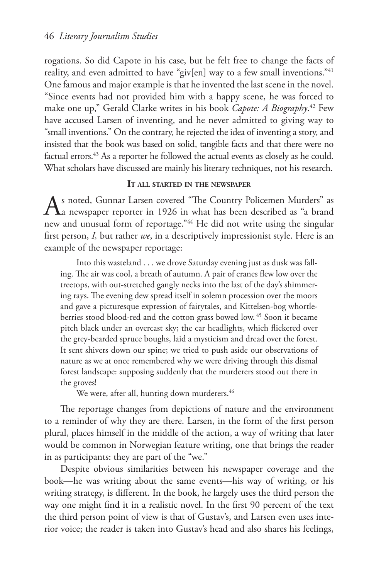rogations. So did Capote in his case, but he felt free to change the facts of reality, and even admitted to have "giv[en] way to a few small inventions."<sup>41</sup> One famous and major example is that he invented the last scene in the novel. "Since events had not provided him with a happy scene, he was forced to make one up," Gerald Clarke writes in his book *Capote: A Biography*. 42 Few have accused Larsen of inventing, and he never admitted to giving way to "small inventions." On the contrary, he rejected the idea of inventing a story, and insisted that the book was based on solid, tangible facts and that there were no factual errors.<sup>43</sup> As a reporter he followed the actual events as closely as he could. What scholars have discussed are mainly his literary techniques, not his research.

## **It all started in the newspaper**

As noted, Gunnar Larsen covered "The Country Policemen Murders" as<br>
a newspaper reporter in 1926 in what has been described as "a brand" new and unusual form of reportage."<sup>44</sup> He did not write using the singular first person, *I,* but rather *we*, in a descriptively impressionist style. Here is an example of the newspaper reportage:

Into this wasteland . . . we drove Saturday evening just as dusk was falling. The air was cool, a breath of autumn. A pair of cranes flew low over the treetops, with out-stretched gangly necks into the last of the day's shimmering rays. The evening dew spread itself in solemn procession over the moors and gave a picturesque expression of fairytales, and Kittelsen-bog whortleberries stood blood-red and the cotton grass bowed low. 45 Soon it became pitch black under an overcast sky; the car headlights, which flickered over the grey-bearded spruce boughs, laid a mysticism and dread over the forest. It sent shivers down our spine; we tried to push aside our observations of nature as we at once remembered why we were driving through this dismal forest landscape: supposing suddenly that the murderers stood out there in the groves!

We were, after all, hunting down murderers.<sup>46</sup>

The reportage changes from depictions of nature and the environment to a reminder of why they are there. Larsen, in the form of the first person plural, places himself in the middle of the action, a way of writing that later would be common in Norwegian feature writing, one that brings the reader in as participants: they are part of the "we."

Despite obvious similarities between his newspaper coverage and the book—he was writing about the same events—his way of writing, or his writing strategy, is different. In the book, he largely uses the third person the way one might find it in a realistic novel. In the first 90 percent of the text the third person point of view is that of Gustav's, and Larsen even uses interior voice; the reader is taken into Gustav's head and also shares his feelings,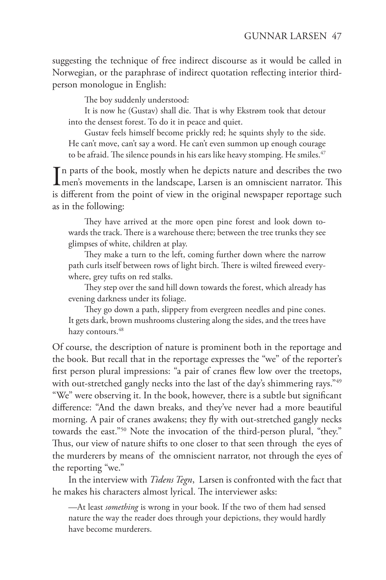suggesting the technique of free indirect discourse as it would be called in Norwegian, or the paraphrase of indirect quotation reflecting interior thirdperson monologue in English:

The boy suddenly understood:

It is now he (Gustav) shall die. That is why Ekstrøm took that detour into the densest forest. To do it in peace and quiet.

Gustav feels himself become prickly red; he squints shyly to the side. He can't move, can't say a word. He can't even summon up enough courage to be afraid. The silence pounds in his ears like heavy stomping. He smiles.<sup>47</sup>

In parts of the book, mostly when he depicts nature and describes the two men's movements in the landscape, Larsen is an omniscient narrator. This men's movements in the landscape, Larsen is an omniscient narrator. This is different from the point of view in the original newspaper reportage such as in the following:

They have arrived at the more open pine forest and look down towards the track. There is a warehouse there; between the tree trunks they see glimpses of white, children at play.

They make a turn to the left, coming further down where the narrow path curls itself between rows of light birch. There is wilted fireweed everywhere, grey tufts on red stalks.

They step over the sand hill down towards the forest, which already has evening darkness under its foliage.

They go down a path, slippery from evergreen needles and pine cones. It gets dark, brown mushrooms clustering along the sides, and the trees have hazy contours.<sup>48</sup>

Of course, the description of nature is prominent both in the reportage and the book. But recall that in the reportage expresses the "we" of the reporter's first person plural impressions: "a pair of cranes flew low over the treetops, with out-stretched gangly necks into the last of the day's shimmering rays."<sup>49</sup> "We" were observing it. In the book, however, there is a subtle but significant difference: "And the dawn breaks, and they've never had a more beautiful morning. A pair of cranes awakens; they fly with out-stretched gangly necks towards the east."50 Note the invocation of the third-person plural, "they." Thus, our view of nature shifts to one closer to that seen through the eyes of the murderers by means of the omniscient narrator, not through the eyes of the reporting "we."

In the interview with *Tidens Tegn*, Larsen is confronted with the fact that he makes his characters almost lyrical. The interviewer asks:

—At least *something* is wrong in your book. If the two of them had sensed nature the way the reader does through your depictions, they would hardly have become murderers.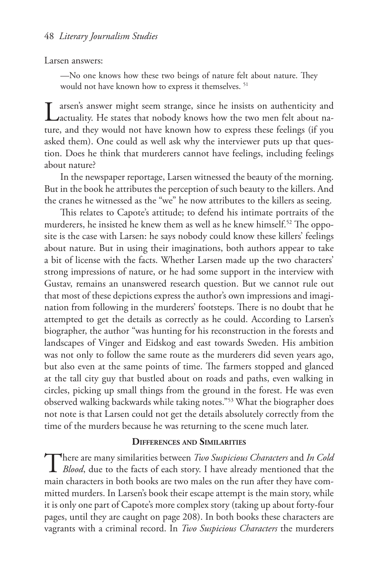#### Larsen answers:

—No one knows how these two beings of nature felt about nature. They would not have known how to express it themselves. 51

Larsen's answer might seem strange, since he insists on authenticity and <br>Lactuality. He states that nobody knows how the two men felt about nature, and they would not have known how to express these feelings (if you asked them). One could as well ask why the interviewer puts up that question. Does he think that murderers cannot have feelings, including feelings about nature?

In the newspaper reportage, Larsen witnessed the beauty of the morning. But in the book he attributes the perception of such beauty to the killers. And the cranes he witnessed as the "we" he now attributes to the killers as seeing.

This relates to Capote's attitude; to defend his intimate portraits of the murderers, he insisted he knew them as well as he knew himself.52 The opposite is the case with Larsen: he says nobody could know these killers' feelings about nature. But in using their imaginations, both authors appear to take a bit of license with the facts. Whether Larsen made up the two characters' strong impressions of nature, or he had some support in the interview with Gustav, remains an unanswered research question. But we cannot rule out that most of these depictions express the author's own impressions and imagination from following in the murderers' footsteps. There is no doubt that he attempted to get the details as correctly as he could. According to Larsen's biographer, the author "was hunting for his reconstruction in the forests and landscapes of Vinger and Eidskog and east towards Sweden. His ambition was not only to follow the same route as the murderers did seven years ago, but also even at the same points of time. The farmers stopped and glanced at the tall city guy that bustled about on roads and paths, even walking in circles, picking up small things from the ground in the forest. He was even observed walking backwards while taking notes."53 What the biographer does not note is that Larsen could not get the details absolutely correctly from the time of the murders because he was returning to the scene much later.

#### **Differences and Similarities**

There are many similarities between *Two Suspicious Characters* and *In Cold Blood*, due to the facts of each story. I have already mentioned that the main characters in both books are two males on the run after they have committed murders. In Larsen's book their escape attempt is the main story, while it is only one part of Capote's more complex story (taking up about forty-four pages, until they are caught on page 208). In both books these characters are vagrants with a criminal record. In *Two Suspicious Characters* the murderers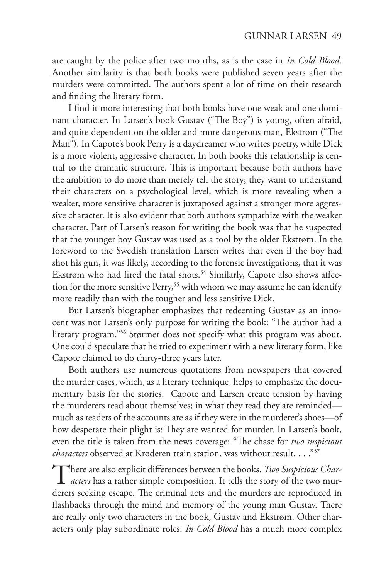are caught by the police after two months, as is the case in *In Cold Blood*. Another similarity is that both books were published seven years after the murders were committed. The authors spent a lot of time on their research and finding the literary form.

I find it more interesting that both books have one weak and one dominant character. In Larsen's book Gustav ("The Boy") is young, often afraid, and quite dependent on the older and more dangerous man, Ekstrøm ("The Man"). In Capote's book Perry is a daydreamer who writes poetry, while Dick is a more violent, aggressive character. In both books this relationship is central to the dramatic structure. This is important because both authors have the ambition to do more than merely tell the story; they want to understand their characters on a psychological level, which is more revealing when a weaker, more sensitive character is juxtaposed against a stronger more aggressive character. It is also evident that both authors sympathize with the weaker character. Part of Larsen's reason for writing the book was that he suspected that the younger boy Gustav was used as a tool by the older Ekstrøm. In the foreword to the Swedish translation Larsen writes that even if the boy had shot his gun, it was likely, according to the forensic investigations, that it was Ekstrøm who had fired the fatal shots.<sup>54</sup> Similarly, Capote also shows affection for the more sensitive Perry,<sup>55</sup> with whom we may assume he can identify more readily than with the tougher and less sensitive Dick.

But Larsen's biographer emphasizes that redeeming Gustav as an innocent was not Larsen's only purpose for writing the book: "The author had a literary program."56 Størmer does not specify what this program was about. One could speculate that he tried to experiment with a new literary form, like Capote claimed to do thirty-three years later.

Both authors use numerous quotations from newspapers that covered the murder cases, which, as a literary technique, helps to emphasize the documentary basis for the stories. Capote and Larsen create tension by having the murderers read about themselves; in what they read they are reminded much as readers of the accounts are as if they were in the murderer's shoes—of how desperate their plight is: They are wanted for murder. In Larsen's book, even the title is taken from the news coverage: "The chase for *two suspicious characters* observed at Krøderen train station, was without result. . . . "57

There are also explicit differences between the books. *Two Suspicious Char-*<br>*acters* has a rather simple composition. It tells the story of the two murderers seeking escape. The criminal acts and the murders are reproduced in flashbacks through the mind and memory of the young man Gustav. There are really only two characters in the book, Gustav and Ekstrøm. Other characters only play subordinate roles. *In Cold Blood* has a much more complex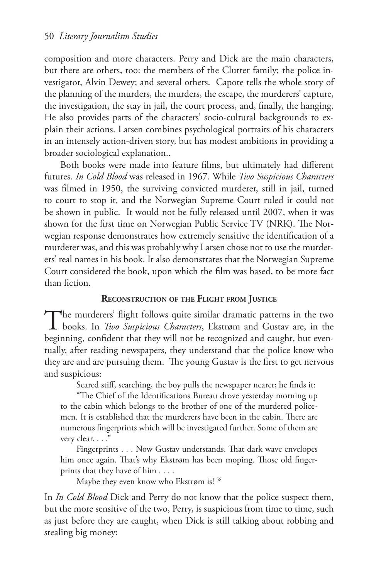composition and more characters. Perry and Dick are the main characters, but there are others, too: the members of the Clutter family; the police investigator, Alvin Dewey; and several others. Capote tells the whole story of the planning of the murders, the murders, the escape, the murderers' capture, the investigation, the stay in jail, the court process, and, finally, the hanging. He also provides parts of the characters' socio-cultural backgrounds to explain their actions. Larsen combines psychological portraits of his characters in an intensely action-driven story, but has modest ambitions in providing a broader sociological explanation..

Both books were made into feature films, but ultimately had different futures. *In Cold Blood* was released in 1967. While *Two Suspicious Characters* was filmed in 1950, the surviving convicted murderer, still in jail, turned to court to stop it, and the Norwegian Supreme Court ruled it could not be shown in public. It would not be fully released until 2007, when it was shown for the first time on Norwegian Public Service TV (NRK). The Norwegian response demonstrates how extremely sensitive the identification of a murderer was, and this was probably why Larsen chose not to use the murderers' real names in his book. It also demonstrates that the Norwegian Supreme Court considered the book, upon which the film was based, to be more fact than fiction.

#### **Reconstruction of the Flight from Justice**

The murderers' flight follows quite similar dramatic patterns in the two books. In *Two Suspicious Characters*, Ekstrøm and Gustav are, in the beginning, confident that they will not be recognized and caught, but eventually, after reading newspapers, they understand that the police know who they are and are pursuing them. The young Gustav is the first to get nervous and suspicious:

Scared stiff, searching, the boy pulls the newspaper nearer; he finds it:

"The Chief of the Identifications Bureau drove yesterday morning up to the cabin which belongs to the brother of one of the murdered policemen. It is established that the murderers have been in the cabin. There are numerous fingerprints which will be investigated further. Some of them are very clear. . . ."

Fingerprints . . . Now Gustav understands. That dark wave envelopes him once again. That's why Ekstrøm has been moping. Those old fingerprints that they have of him . . . .

Maybe they even know who Ekstrøm is! 58

In *In Cold Blood* Dick and Perry do not know that the police suspect them, but the more sensitive of the two, Perry, is suspicious from time to time, such as just before they are caught, when Dick is still talking about robbing and stealing big money: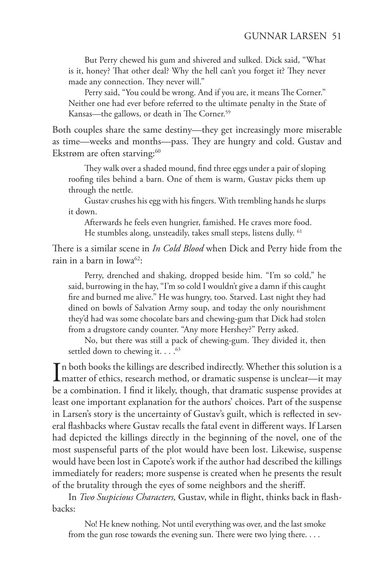But Perry chewed his gum and shivered and sulked. Dick said, "What is it, honey? That other deal? Why the hell can't you forget it? They never made any connection. They never will."

Perry said, "You could be wrong. And if you are, it means The Corner." Neither one had ever before referred to the ultimate penalty in the State of Kansas—the gallows, or death in The Corner.<sup>59</sup>

Both couples share the same destiny—they get increasingly more miserable as time—weeks and months—pass. They are hungry and cold. Gustav and Ekstrøm are often starving:<sup>60</sup>

They walk over a shaded mound, find three eggs under a pair of sloping roofing tiles behind a barn. One of them is warm, Gustav picks them up through the nettle.

Gustav crushes his egg with his fingers. With trembling hands he slurps it down.

Afterwards he feels even hungrier, famished. He craves more food. He stumbles along, unsteadily, takes small steps, listens dully. <sup>61</sup>

There is a similar scene in *In Cold Blood* when Dick and Perry hide from the rain in a barn in Iowa<sup>62</sup>:

Perry, drenched and shaking, dropped beside him. "I'm so cold," he said, burrowing in the hay, "I'm so cold I wouldn't give a damn if this caught fire and burned me alive." He was hungry, too. Starved. Last night they had dined on bowls of Salvation Army soup, and today the only nourishment they'd had was some chocolate bars and chewing-gum that Dick had stolen from a drugstore candy counter. "Any more Hershey?" Perry asked.

No, but there was still a pack of chewing-gum. They divided it, then settled down to chewing it.  $\ldots$ <sup>63</sup>

In both books the killings are described indirectly. Whether this solution is a matter of ethics, research method, or dramatic suspense is unclear—it may matter of ethics, research method, or dramatic suspense is unclear—it may be a combination. I find it likely, though, that dramatic suspense provides at least one important explanation for the authors' choices. Part of the suspense in Larsen's story is the uncertainty of Gustav's guilt, which is reflected in several flashbacks where Gustav recalls the fatal event in different ways. If Larsen had depicted the killings directly in the beginning of the novel, one of the most suspenseful parts of the plot would have been lost. Likewise, suspense would have been lost in Capote's work if the author had described the killings immediately for readers; more suspense is created when he presents the result of the brutality through the eyes of some neighbors and the sheriff.

In *Two Suspicious Characters,* Gustav, while in flight, thinks back in flashbacks:

No! He knew nothing. Not until everything was over, and the last smoke from the gun rose towards the evening sun. There were two lying there. . . .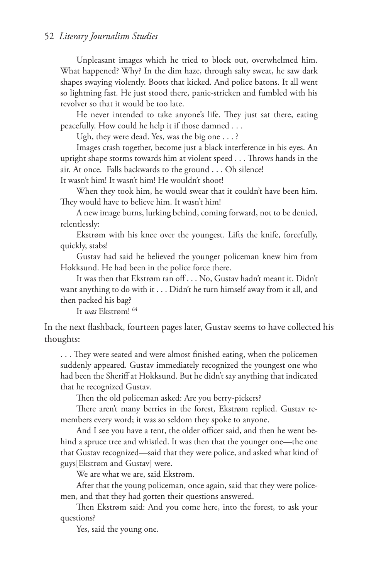Unpleasant images which he tried to block out, overwhelmed him. What happened? Why? In the dim haze, through salty sweat, he saw dark shapes swaying violently. Boots that kicked. And police batons. It all went so lightning fast. He just stood there, panic-stricken and fumbled with his revolver so that it would be too late.

He never intended to take anyone's life. They just sat there, eating peacefully. How could he help it if those damned . . .

Ugh, they were dead. Yes, was the big one . . . ?

Images crash together, become just a black interference in his eyes. An upright shape storms towards him at violent speed . . . Throws hands in the air. At once. Falls backwards to the ground . . . Oh silence!

It wasn't him! It wasn't him! He wouldn't shoot!

When they took him, he would swear that it couldn't have been him. They would have to believe him. It wasn't him!

A new image burns, lurking behind, coming forward, not to be denied, relentlessly:

Ekstrøm with his knee over the youngest. Lifts the knife, forcefully, quickly, stabs!

Gustav had said he believed the younger policeman knew him from Hokksund. He had been in the police force there.

It was then that Ekstrøm ran off . . . No, Gustav hadn't meant it. Didn't want anything to do with it . . . Didn't he turn himself away from it all, and then packed his bag?

It *was* Ekstrøm! 64

In the next flashback, fourteen pages later, Gustav seems to have collected his thoughts:

. . . They were seated and were almost finished eating, when the policemen suddenly appeared. Gustav immediately recognized the youngest one who had been the Sheriff at Hokksund. But he didn't say anything that indicated that he recognized Gustav.

Then the old policeman asked: Are you berry-pickers?

There aren't many berries in the forest, Ekstrøm replied. Gustav remembers every word; it was so seldom they spoke to anyone.

And I see you have a tent, the older officer said, and then he went behind a spruce tree and whistled. It was then that the younger one—the one that Gustav recognized—said that they were police, and asked what kind of guys[Ekstrøm and Gustav] were.

We are what we are, said Ekstrøm.

After that the young policeman, once again, said that they were policemen, and that they had gotten their questions answered.

Then Ekstrøm said: And you come here, into the forest, to ask your questions?

Yes, said the young one.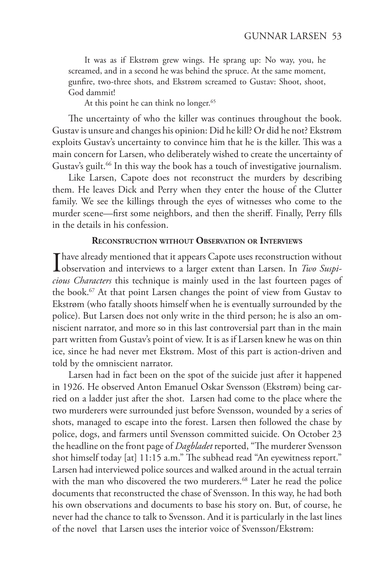It was as if Ekstrøm grew wings. He sprang up: No way, you, he screamed, and in a second he was behind the spruce. At the same moment, gunfire, two-three shots, and Ekstrøm screamed to Gustav: Shoot, shoot, God dammit!

At this point he can think no longer.<sup>65</sup>

The uncertainty of who the killer was continues throughout the book. Gustav is unsure and changes his opinion: Did he kill? Or did he not? Ekstrøm exploits Gustav's uncertainty to convince him that he is the killer. This was a main concern for Larsen, who deliberately wished to create the uncertainty of Gustav's guilt.<sup>66</sup> In this way the book has a touch of investigative journalism.

Like Larsen, Capote does not reconstruct the murders by describing them. He leaves Dick and Perry when they enter the house of the Clutter family. We see the killings through the eyes of witnesses who come to the murder scene—first some neighbors, and then the sheriff. Finally, Perry fills in the details in his confession.

#### **Reconstruction without Observation or Interviews**

I have already mentioned that it appears Capote uses reconstruction without observation and interviews to a larger extent than Larsen. In *Two Suspicious Characters* this technique is mainly used in the last fourteen pages of the book.67 At that point Larsen changes the point of view from Gustav to Ekstrøm (who fatally shoots himself when he is eventually surrounded by the police). But Larsen does not only write in the third person; he is also an omniscient narrator, and more so in this last controversial part than in the main part written from Gustav's point of view. It is as if Larsen knew he was on thin ice, since he had never met Ekstrøm. Most of this part is action-driven and told by the omniscient narrator.

Larsen had in fact been on the spot of the suicide just after it happened in 1926. He observed Anton Emanuel Oskar Svensson (Ekstrøm) being carried on a ladder just after the shot. Larsen had come to the place where the two murderers were surrounded just before Svensson, wounded by a series of shots, managed to escape into the forest. Larsen then followed the chase by police, dogs, and farmers until Svensson committed suicide. On October 23 the headline on the front page of *Dagbladet* reported, "The murderer Svensson shot himself today [at] 11:15 a.m." The subhead read "An eyewitness report." Larsen had interviewed police sources and walked around in the actual terrain with the man who discovered the two murderers.<sup>68</sup> Later he read the police documents that reconstructed the chase of Svensson. In this way, he had both his own observations and documents to base his story on. But, of course, he never had the chance to talk to Svensson. And it is particularly in the last lines of the novel that Larsen uses the interior voice of Svensson/Ekstrøm: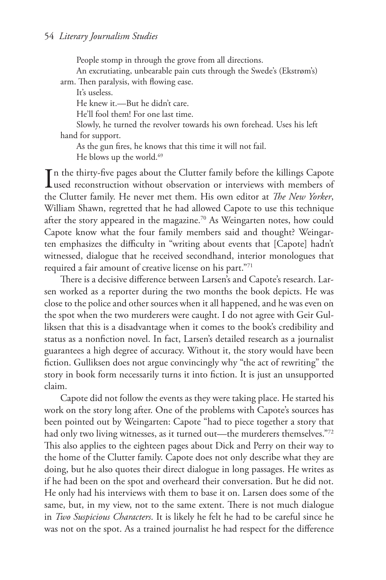People stomp in through the grove from all directions.

An excrutiating, unbearable pain cuts through the Swede's (Ekstrøm's)

arm. Then paralysis, with flowing ease. It's useless.

He knew it.—But he didn't care.

He'll fool them! For one last time.

Slowly, he turned the revolver towards his own forehead. Uses his left hand for support.

As the gun fires, he knows that this time it will not fail.

He blows up the world.<sup>69</sup>

In the thirty-five pages about the Clutter family before the killings Capote<br>used reconstruction without observation or interviews with members of **L**used reconstruction without observation or interviews with members of the Clutter family. He never met them. His own editor at *The New Yorker*, William Shawn, regretted that he had allowed Capote to use this technique after the story appeared in the magazine.<sup>70</sup> As Weingarten notes, how could Capote know what the four family members said and thought? Weingarten emphasizes the difficulty in "writing about events that [Capote] hadn't witnessed, dialogue that he received secondhand, interior monologues that required a fair amount of creative license on his part."71

There is a decisive difference between Larsen's and Capote's research. Larsen worked as a reporter during the two months the book depicts. He was close to the police and other sources when it all happened, and he was even on the spot when the two murderers were caught. I do not agree with Geir Gulliksen that this is a disadvantage when it comes to the book's credibility and status as a nonfiction novel. In fact, Larsen's detailed research as a journalist guarantees a high degree of accuracy. Without it, the story would have been fiction. Gulliksen does not argue convincingly why "the act of rewriting" the story in book form necessarily turns it into fiction. It is just an unsupported claim.

Capote did not follow the events as they were taking place. He started his work on the story long after. One of the problems with Capote's sources has been pointed out by Weingarten: Capote "had to piece together a story that had only two living witnesses, as it turned out—the murderers themselves."72 This also applies to the eighteen pages about Dick and Perry on their way to the home of the Clutter family. Capote does not only describe what they are doing, but he also quotes their direct dialogue in long passages. He writes as if he had been on the spot and overheard their conversation. But he did not. He only had his interviews with them to base it on. Larsen does some of the same, but, in my view, not to the same extent. There is not much dialogue in *Two Suspicious Characters*. It is likely he felt he had to be careful since he was not on the spot. As a trained journalist he had respect for the difference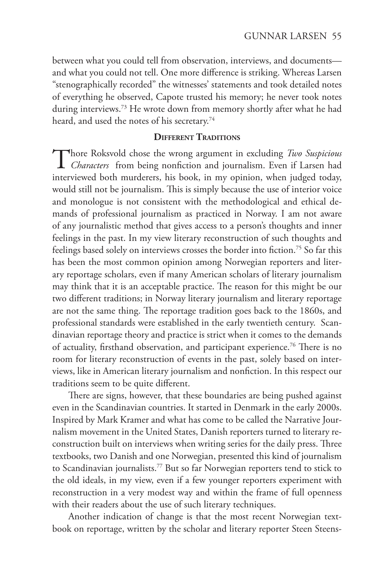between what you could tell from observation, interviews, and documents and what you could not tell. One more difference is striking. Whereas Larsen "stenographically recorded" the witnesses' statements and took detailed notes of everything he observed, Capote trusted his memory; he never took notes during interviews.<sup>73</sup> He wrote down from memory shortly after what he had heard, and used the notes of his secretary.<sup>74</sup>

#### **Different Traditions**

Thore Roksvold chose the wrong argument in excluding *Two Suspicious Characters* from being nonfiction and journalism. Even if Larsen had interviewed both murderers, his book, in my opinion, when judged today, would still not be journalism. This is simply because the use of interior voice and monologue is not consistent with the methodological and ethical demands of professional journalism as practiced in Norway. I am not aware of any journalistic method that gives access to a person's thoughts and inner feelings in the past. In my view literary reconstruction of such thoughts and feelings based solely on interviews crosses the border into fiction.75 So far this has been the most common opinion among Norwegian reporters and literary reportage scholars, even if many American scholars of literary journalism may think that it is an acceptable practice. The reason for this might be our two different traditions; in Norway literary journalism and literary reportage are not the same thing. The reportage tradition goes back to the 1860s, and professional standards were established in the early twentieth century. Scandinavian reportage theory and practice is strict when it comes to the demands of actuality, firsthand observation, and participant experience.76 There is no room for literary reconstruction of events in the past, solely based on interviews, like in American literary journalism and nonfiction. In this respect our traditions seem to be quite different.

There are signs, however, that these boundaries are being pushed against even in the Scandinavian countries. It started in Denmark in the early 2000s. Inspired by Mark Kramer and what has come to be called the Narrative Journalism movement in the United States, Danish reporters turned to literary reconstruction built on interviews when writing series for the daily press. Three textbooks, two Danish and one Norwegian, presented this kind of journalism to Scandinavian journalists.77 But so far Norwegian reporters tend to stick to the old ideals, in my view, even if a few younger reporters experiment with reconstruction in a very modest way and within the frame of full openness with their readers about the use of such literary techniques.

Another indication of change is that the most recent Norwegian textbook on reportage, written by the scholar and literary reporter Steen Steens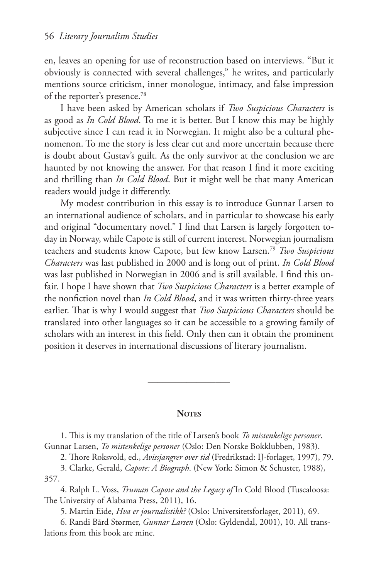en, leaves an opening for use of reconstruction based on interviews. "But it obviously is connected with several challenges," he writes, and particularly mentions source criticism, inner monologue, intimacy, and false impression of the reporter's presence.78

I have been asked by American scholars if *Two Suspicious Characters* is as good as *In Cold Blood*. To me it is better. But I know this may be highly subjective since I can read it in Norwegian. It might also be a cultural phenomenon. To me the story is less clear cut and more uncertain because there is doubt about Gustav's guilt. As the only survivor at the conclusion we are haunted by not knowing the answer. For that reason I find it more exciting and thrilling than *In Cold Blood*. But it might well be that many American readers would judge it differently.

My modest contribution in this essay is to introduce Gunnar Larsen to an international audience of scholars, and in particular to showcase his early and original "documentary novel." I find that Larsen is largely forgotten today in Norway, while Capote is still of current interest. Norwegian journalism teachers and students know Capote, but few know Larsen.79 *Two Suspicious Characters* was last published in 2000 and is long out of print. *In Cold Blood* was last published in Norwegian in 2006 and is still available. I find this unfair. I hope I have shown that *Two Suspicious Characters* is a better example of the nonfiction novel than *In Cold Blood*, and it was written thirty-three years earlier. That is why I would suggest that *Two Suspicious Characters* should be translated into other languages so it can be accessible to a growing family of scholars with an interest in this field. Only then can it obtain the prominent position it deserves in international discussions of literary journalism.

### **Notes**

 $\frac{1}{\sqrt{2\pi}}$ 

1. This is my translation of the title of Larsen's book *To mistenkelige personer*. Gunnar Larsen, *To mistenkelige personer* (Oslo: Den Norske Bokklubben, 1983).

2. Thore Roksvold, ed., *Avissjangrer over tid* (Fredrikstad: IJ-forlaget, 1997), 79.

3. Clarke, Gerald, *Capote: A Biograph*. (New York: Simon & Schuster, 1988), 357.

4. Ralph L. Voss, *Truman Capote and the Legacy of* In Cold Blood (Tuscaloosa: The University of Alabama Press, 2011), 16.

5. Martin Eide, *Hva er journalistikk?* (Oslo: Universitetsforlaget, 2011), 69.

6. Randi Bård Størmer, *Gunnar Larsen* (Oslo: Gyldendal, 2001), 10. All translations from this book are mine.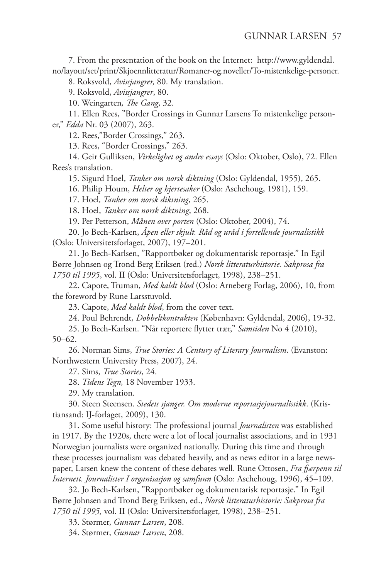7. From the presentation of the book on the Internet: http://www.gyldendal. no/layout/set/print/Skjoennlitteratur/Romaner-og.noveller/To-mistenkelige-personer.

8. Roksvold, *Avissjangrer,* 80. My translation.

9. Roksvold, *Avissjangrer*, 80.

10. Weingarten*, The Gang*, 32.

11. Ellen Rees, "Border Crossings in Gunnar Larsens To mistenkelige personer," *Edda* Nr. 03 (2007), 263.

12. Rees,"Border Crossings," 263.

13. Rees, "Border Crossings," 263.

14. Geir Gulliksen, *Virkelighet og andre essays* (Oslo: Oktober, Oslo), 72. Ellen Rees's translation.

15. Sigurd Hoel, *Tanker om norsk diktning* (Oslo: Gyldendal, 1955), 265.

16. Philip Houm, *Helter og hjertesaker* (Oslo: Aschehoug, 1981), 159.

17. Hoel*, Tanker om norsk diktning*, 265.

18. Hoel, *Tanker om norsk diktning*, 268.

19. Per Petterson, *Månen over porten* (Oslo: Oktober, 2004), 74.

20. Jo Bech-Karlsen, *Åpen eller skjult. Råd og uråd i fortellende journalistikk* (Oslo: Universitetsforlaget, 2007), 197–201.

21. Jo Bech-Karlsen, "Rapportbøker og dokumentarisk reportasje." In Egil Børre Johnsen og Trond Berg Eriksen (red.) *Norsk litteraturhistorie. Sakprosa fra 1750 til 1995*, vol. II (Oslo: Universitetsforlaget, 1998), 238–251.

22. Capote, Truman, *Med kaldt blod* (Oslo: Arneberg Forlag, 2006), 10, from the foreword by Rune Larsstuvold.

23. Capote, *Med kaldt blod*, from the cover text.

24. Poul Behrendt, *Dobbeltkontrakten* (København: Gyldendal, 2006), 19-32.

25. Jo Bech-Karlsen. "Når reportere flytter trær," *Samtiden* No 4 (2010), 50–62.

26. Norman Sims, *True Stories: A Century of Literary Journalism*. (Evanston: Northwestern University Press, 2007), 24.

27. Sims, *True Stories*, 24.

28. *Tidens Tegn,* 18 November 1933.

29. My translation.

30. Steen Steensen. *Stedets sjanger. Om moderne reportasjejournalistikk*. (Kristiansand: IJ-forlaget, 2009), 130.

31. Some useful history: The professional journal *Journalisten* was established in 1917. By the 1920s, there were a lot of local journalist associations, and in 1931 Norwegian journalists were organized nationally. During this time and through these processes journalism was debated heavily, and as news editor in a large newspaper, Larsen knew the content of these debates well. Rune Ottosen, *Fra fjærpenn til Internett. Journalister I organisasjon og samfunn* (Oslo: Aschehoug, 1996), 45–109.

32. Jo Bech-Karlsen, "Rapportbøker og dokumentarisk reportasje." In Egil Børre Johnsen and Trond Berg Eriksen, ed., *Norsk litteraturhistorie: Sakprosa fra 1750 til 1995,* vol. II (Oslo: Universitetsforlaget, 1998), 238–251.

33. Størmer, *Gunnar Larsen*, 208.

34. Størmer, *Gunnar Larsen*, 208.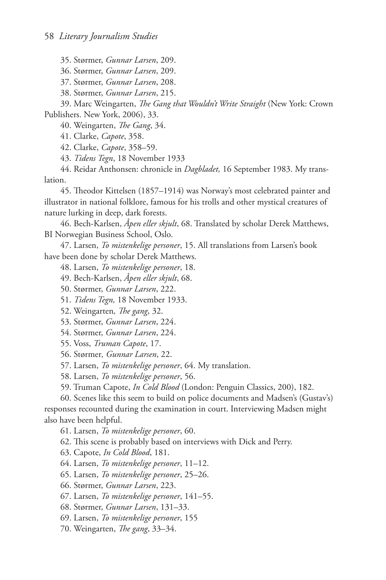35. Størmer, *Gunnar Larsen*, 209.

36. Størmer, *Gunnar Larsen*, 209.

37. Størmer, *Gunnar Larsen*, 208.

38. Størmer, *Gunnar Larsen*, 215.

39. Marc Weingarten, *The Gang that Wouldn't Write Straight* (New York: Crown Publishers. New York, 2006), 33.

40. Weingarten, *The Gang*, 34.

41. Clarke, *Capote*, 358.

42. Clarke, *Capote*, 358–59.

43. *Tidens Tegn*, 18 November 1933

44. Reidar Anthonsen: chronicle in *Dagbladet,* 16 September 1983. My translation.

45. Theodor Kittelsen (1857–1914) was Norway's most celebrated painter and illustrator in national folklore, famous for his trolls and other mystical creatures of nature lurking in deep, dark forests.

46. Bech-Karlsen, *Åpen eller skjult*, 68. Translated by scholar Derek Matthews, BI Norwegian Business School, Oslo.

47. Larsen, *To mistenkelige personer*, 15. All translations from Larsen's book have been done by scholar Derek Matthews.

48. Larsen, *To mistenkelige personer*, 18.

49. Bech-Karlsen, *Åpen eller skjult*, 68.

50. Størmer, *Gunnar Larsen*, 222.

51. *Tidens Tegn,* 18 November 1933.

52. Weingarten*, The gang*, 32.

53. Størmer, *Gunnar Larsen*, 224.

54. Størmer, *Gunnar Larsen*, 224.

55. Voss, *Truman Capote*, 17.

56. Størmer*, Gunnar Larsen*, 22.

57. Larsen, *To mistenkelige personer*, 64. My translation.

58. Larsen, *To mistenkelige personer*, 56.

59. Truman Capote, *In Cold Blood* (London: Penguin Classics, 200), 182.

60. Scenes like this seem to build on police documents and Madsen's (Gustav's) responses recounted during the examination in court. Interviewing Madsen might also have been helpful.

61. Larsen, *To mistenkelige personer*, 60.

62. This scene is probably based on interviews with Dick and Perry.

63. Capote, *In Cold Blood*, 181.

64. Larsen, *To mistenkelige personer*, 11–12.

65. Larsen, *To mistenkelige personer*, 25–26.

66. Størmer, *Gunnar Larsen*, 223.

67. Larsen, *To mistenkelige personer*, 141–55.

68. Størmer, *Gunnar Larsen*, 131–33.

69. Larsen, *To mistenkelige personer*, 155

70. Weingarten, *The gang*, 33–34.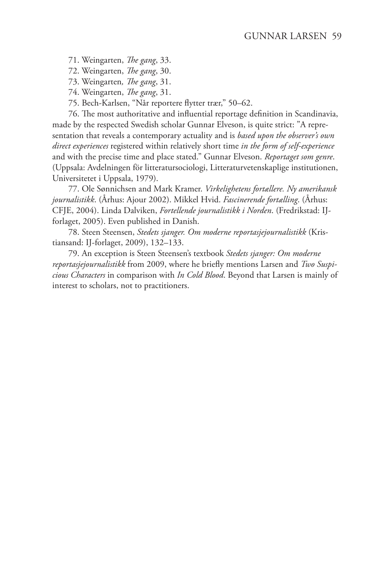71. Weingarten, *The gang*, 33.

72. Weingarten, *The gang*, 30.

73. Weingarten*, The gang*, 31.

74. Weingarten, *The gang*, 31.

75. Bech-Karlsen, "Når reportere flytter trær," 50–62.

76. The most authoritative and influential reportage definition in Scandinavia, made by the respected Swedish scholar Gunnar Elveson, is quite strict: "A representation that reveals a contemporary actuality and is *based upon the observer's own direct experiences* registered within relatively short time *in the form of self-experience* and with the precise time and place stated." Gunnar Elveson. *Reportaget som genre*. (Uppsala: Avdelningen för litteratursociologi, Litteraturvetenskaplige institutionen, Universitetet i Uppsala, 1979).

77. Ole Sønnichsen and Mark Kramer. *Virkelighetens fortællere. Ny amerikansk journalistikk*. (Århus: Ajour 2002). Mikkel Hvid. *Fascinerende fortælling*. (Århus: CFJE, 2004). Linda Dalviken, *Fortellende journalistikk i Norden*. (Fredrikstad: IJforlaget, 2005). Even published in Danish.

78. Steen Steensen, *Stedets sjanger. Om moderne reportasjejournalistikk* (Kristiansand: IJ-forlaget, 2009), 132–133.

79. An exception is Steen Steensen's textbook *Stedets sjanger: Om moderne reportasjejournalistikk* from 2009, where he briefly mentions Larsen and *Two Suspicious Characters* in comparison with *In Cold Blood*. Beyond that Larsen is mainly of interest to scholars, not to practitioners.